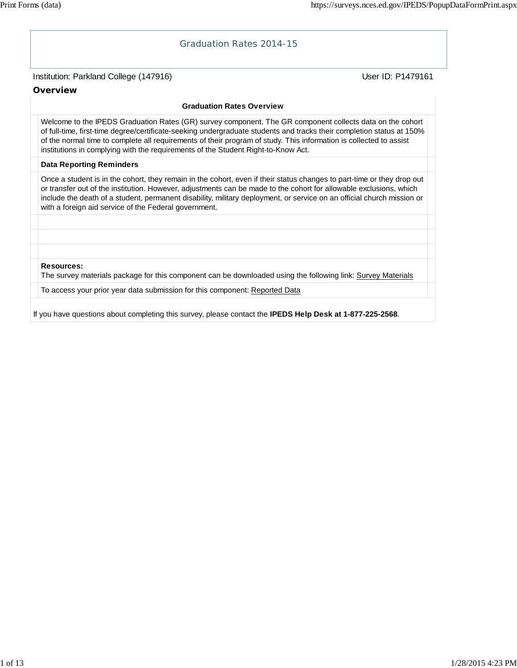#### Graduation Rates 2014-15

#### Institution: Parkland College (147916) November 2012 12: Physics User ID: P1479161

**Overview**

#### **Graduation Rates Overview**

Welcome to the IPEDS Graduation Rates (GR) survey component. The GR component collects data on the cohort of full-time, first-time degree/certificate-seeking undergraduate students and tracks their completion status at 150% of the normal time to complete all requirements of their program of study. This information is collected to assist institutions in complying with the requirements of the Student Right-to-Know Act.

#### **Data Reporting Reminders**

Once a student is in the cohort, they remain in the cohort, even if their status changes to part-time or they drop out or transfer out of the institution. However, adjustments can be made to the cohort for allowable exclusions, which include the death of a student, permanent disability, military deployment, or service on an official church mission or with a foreign aid service of the Federal government.

**Resources:**

The survey materials package for this component can be downloaded using the following link: Survey Materials

To access your prior year data submission for this component: Reported Data

If you have questions about completing this survey, please contact the **IPEDS Help Desk at 1-877-225-2568**.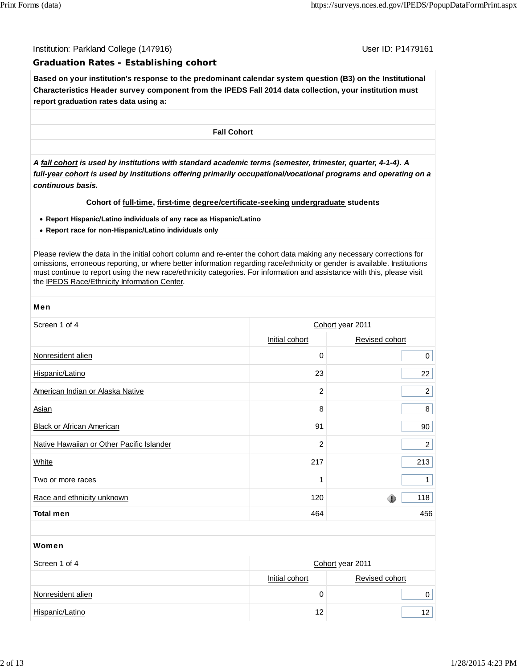Institution: Parkland College (147916) November 2012 12: P1479161

#### **Graduation Rates - Establishing cohort**

**Based on your institution's response to the predominant calendar system question (B3) on the Institutional Characteristics Header survey component from the IPEDS Fall 2014 data collection, your institution must report graduation rates data using a:**

**Fall Cohort**

*A fall cohort is used by institutions with standard academic terms (semester, trimester, quarter, 4-1-4). A full-year cohort is used by institutions offering primarily occupational/vocational programs and operating on a continuous basis.*

#### **Cohort of full-time, first-time degree/certificate-seeking undergraduate students**

- **Report Hispanic/Latino individuals of any race as Hispanic/Latino**
- **Report race for non-Hispanic/Latino individuals only**

Please review the data in the initial cohort column and re-enter the cohort data making any necessary corrections for omissions, erroneous reporting, or where better information regarding race/ethnicity or gender is available. Institutions must continue to report using the new race/ethnicity categories. For information and assistance with this, please visit the IPEDS Race/Ethnicity Information Center.

| Men                                       |                  |                |  |
|-------------------------------------------|------------------|----------------|--|
| Screen 1 of 4                             | Cohort year 2011 |                |  |
|                                           | Initial cohort   | Revised cohort |  |
| Nonresident alien                         | 0                | 0              |  |
| Hispanic/Latino                           | 23               | 22             |  |
| American Indian or Alaska Native          | 2                | $\overline{a}$ |  |
| Asian                                     | 8                | 8              |  |
| Black or African American                 | 91               | 90             |  |
| Native Hawaiian or Other Pacific Islander | 2                | $\overline{2}$ |  |
| <b>White</b>                              | 217              | 213            |  |
| Two or more races                         | 1                | $\mathbf{1}$   |  |
| Race and ethnicity unknown                | 120              | 118            |  |
| <b>Total men</b>                          | 464              | 456            |  |

# Women Screen 1 of 4 Cohort year 2011 Initial cohort Revised cohort Nonresident alien 0 0 Hispanic/Latino 12 12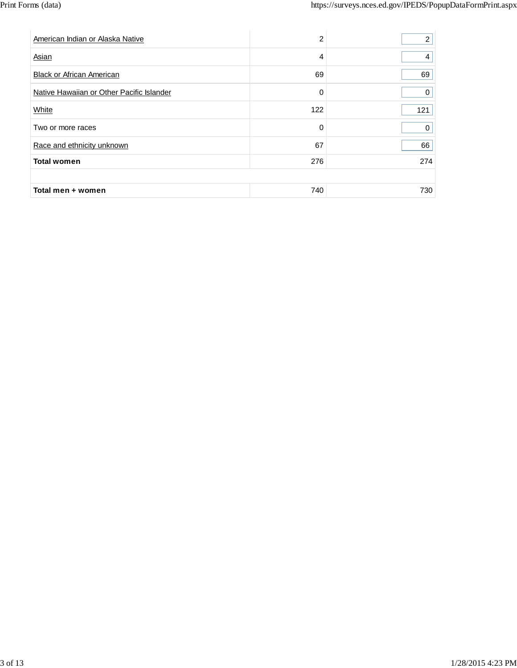| American Indian or Alaska Native          | 2   | 2   |
|-------------------------------------------|-----|-----|
| Asian                                     | 4   | 4   |
| <b>Black or African American</b>          | 69  | 69  |
| Native Hawaiian or Other Pacific Islander | 0   | 0   |
| White                                     | 122 | 121 |
| Two or more races                         | 0   | 0   |
| Race and ethnicity unknown                | 67  | 66  |
| <b>Total women</b>                        | 276 | 274 |
|                                           |     |     |
| Total men + women                         | 740 | 730 |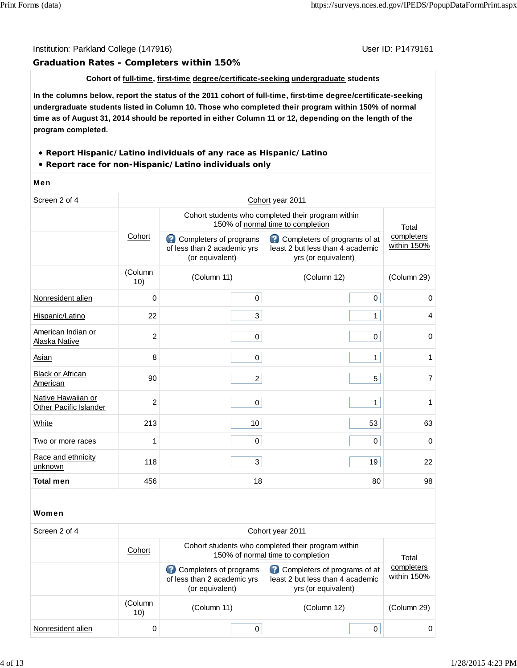#### Institution: Parkland College (147916) November 2012 12: P1479161

#### **Graduation Rates - Completers within 150%**

#### **Cohort of full-time, first-time degree/certificate-seeking undergraduate students**

**In the columns below, report the status of the 2011 cohort of full-time, first-time degree/certificate-seeking undergraduate students listed in Column 10. Those who completed their program within 150% of normal time as of August 31, 2014 should be reported in either Column 11 or 12, depending on the length of the program completed.**

- **Report Hispanic/Latino individuals of any race as Hispanic/Latino**
- **Report race for non-Hispanic/Latino individuals only**

#### Men

| Screen 2 of 4                                |                | Cohort year 2011                                                                        |                                                                                         |                           |  |  |
|----------------------------------------------|----------------|-----------------------------------------------------------------------------------------|-----------------------------------------------------------------------------------------|---------------------------|--|--|
|                                              |                |                                                                                         | Cohort students who completed their program within<br>150% of normal time to completion | Total                     |  |  |
|                                              | Cohort         | Completers of programs<br>of less than 2 academic yrs<br>(or equivalent)                | Completers of programs of at<br>least 2 but less than 4 academic<br>yrs (or equivalent) | completers<br>within 150% |  |  |
|                                              | (Column<br>10) | (Column 11)                                                                             | (Column 12)                                                                             | (Column 29)               |  |  |
| Nonresident alien                            | $\mathbf 0$    | 0                                                                                       | $\mathsf{O}\xspace$                                                                     | 0                         |  |  |
| Hispanic/Latino                              | 22             | 3                                                                                       | $\mathbf{1}$                                                                            | 4                         |  |  |
| American Indian or<br>Alaska Native          | $\overline{c}$ | 0                                                                                       | 0                                                                                       | 0                         |  |  |
| Asian                                        | 8              | $\pmb{0}$                                                                               | $\mathbf{1}$                                                                            | 1                         |  |  |
| <b>Black or African</b><br>American          | 90             | $\overline{a}$                                                                          | 5                                                                                       | $\overline{7}$            |  |  |
| Native Hawaiian or<br>Other Pacific Islander | $\overline{2}$ | $\mathsf 0$                                                                             | $\mathbf{1}$                                                                            | 1                         |  |  |
| White                                        | 213            | 10                                                                                      | 53                                                                                      | 63                        |  |  |
| Two or more races                            | 1              | 0                                                                                       | 0                                                                                       | $\mathbf 0$               |  |  |
| Race and ethnicity<br>unknown                | 118            | 3                                                                                       | 19                                                                                      | 22                        |  |  |
| <b>Total men</b>                             | 456            | 18                                                                                      | 80                                                                                      | 98                        |  |  |
|                                              |                |                                                                                         |                                                                                         |                           |  |  |
| Women                                        |                |                                                                                         |                                                                                         |                           |  |  |
| Screen 2 of 4                                |                | Cohort year 2011                                                                        |                                                                                         |                           |  |  |
|                                              | Cohort         | Cohort students who completed their program within<br>150% of normal time to completion |                                                                                         | Total                     |  |  |
|                                              |                | Completers of programs<br>of less than 2 academic yrs<br>(or equivalent)                | Completers of programs of at<br>least 2 but less than 4 academic<br>yrs (or equivalent) | completers<br>within 150% |  |  |
|                                              | (Column<br>10) | (Column 11)                                                                             | (Column 12)                                                                             | (Column 29)               |  |  |

Nonresident alien 0 0 0 0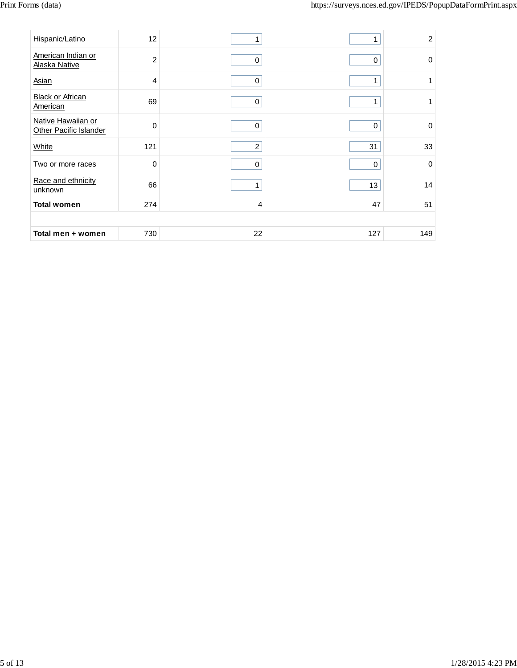| Hispanic/Latino                              | 12             | 1              | 1           | $\overline{c}$ |
|----------------------------------------------|----------------|----------------|-------------|----------------|
|                                              |                |                |             |                |
| American Indian or<br>Alaska Native          | $\overline{2}$ | $\pmb{0}$      | $\mathbf 0$ | $\mathbf 0$    |
| Asian                                        | $\overline{4}$ | $\mathbf 0$    | 1           | 1              |
| <b>Black or African</b><br>American          | 69             | $\mathbf 0$    | 1           | $\mathbf{1}$   |
| Native Hawaiian or<br>Other Pacific Islander | $\mathbf 0$    | 0              | $\mathbf 0$ | $\mathbf 0$    |
| White                                        | 121            | $\overline{c}$ | 31          | 33             |
| Two or more races                            | $\mathbf 0$    | $\mathbf 0$    | $\mathbf 0$ | $\mathbf 0$    |
| Race and ethnicity<br>unknown                | 66             | $\mathbf{1}$   | 13          | 14             |
| <b>Total women</b>                           | 274            | 4              | 47          | 51             |
|                                              |                |                |             |                |
| Total men + women                            | 730            | 22             | 127         | 149            |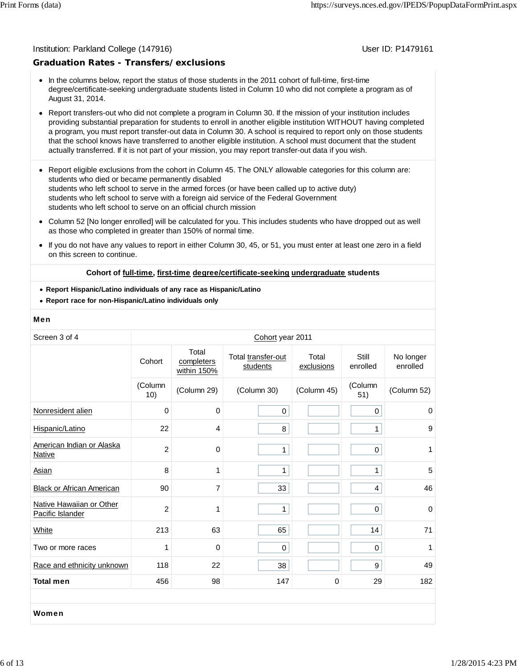#### Institution: Parkland College (147916) November 2012 12: P1479161

#### **Graduation Rates - Transfers/exclusions**

- In the columns below, report the status of those students in the 2011 cohort of full-time, first-time degree/certificate-seeking undergraduate students listed in Column 10 who did not complete a program as of August 31, 2014.
- Report transfers-out who did not complete a program in Column 30. If the mission of your institution includes providing substantial preparation for students to enroll in another eligible institution WITHOUT having completed a program, you must report transfer-out data in Column 30. A school is required to report only on those students that the school knows have transferred to another eligible institution. A school must document that the student actually transferred. If it is not part of your mission, you may report transfer-out data if you wish.
- Report eligible exclusions from the cohort in Column 45. The ONLY allowable categories for this column are: students who died or became permanently disabled students who left school to serve in the armed forces (or have been called up to active duty) students who left school to serve with a foreign aid service of the Federal Government students who left school to serve on an official church mission
- Column 52 [No longer enrolled] will be calculated for you. This includes students who have dropped out as well as those who completed in greater than 150% of normal time.
- $\bullet$ If you do not have any values to report in either Column 30, 45, or 51, you must enter at least one zero in a field on this screen to continue.

#### **Cohort of full-time, first-time degree/certificate-seeking undergraduate students**

- **Report Hispanic/Latino individuals of any race as Hispanic/Latino**
- **Report race for non-Hispanic/Latino individuals only**

#### Men

| Screen 3 of 4                                |                |                                    | Cohort year 2011               |                     |                         |                       |
|----------------------------------------------|----------------|------------------------------------|--------------------------------|---------------------|-------------------------|-----------------------|
|                                              | Cohort         | Total<br>completers<br>within 150% | Total transfer-out<br>students | Total<br>exclusions | Still<br>enrolled       | No longer<br>enrolled |
|                                              | (Column<br>10) | (Column 29)                        | (Column 30)                    | (Column 45)         | (Column<br>51)          | (Column 52)           |
| Nonresident alien                            | 0              | $\pmb{0}$                          | $\pmb{0}$                      |                     | $\pmb{0}$               | 0                     |
| Hispanic/Latino                              | 22             | 4                                  | 8                              |                     | $\mathbf{1}$            | 9                     |
| American Indian or Alaska<br>Native          | $\overline{c}$ | 0                                  | $\mathbf{1}$                   |                     | $\pmb{0}$               | 1                     |
| Asian                                        | 8              | 1                                  | 1                              |                     | 1                       | 5                     |
| <b>Black or African American</b>             | 90             | 7                                  | 33                             |                     | $\overline{\mathbf{4}}$ | 46                    |
| Native Hawaiian or Other<br>Pacific Islander | $\overline{2}$ | 1                                  | 1                              |                     | 0                       | $\Omega$              |
| White                                        | 213            | 63                                 | 65                             |                     | 14                      | 71                    |
| Two or more races                            | 1              | $\mathbf 0$                        | $\mathbf 0$                    |                     | 0                       | 1                     |
| Race and ethnicity unknown                   | 118            | 22                                 | 38                             |                     | 9                       | 49                    |
| <b>Total men</b>                             | 456            | 98                                 | 147                            | $\mathbf 0$         | 29                      | 182                   |
|                                              |                |                                    |                                |                     |                         |                       |
| Women                                        |                |                                    |                                |                     |                         |                       |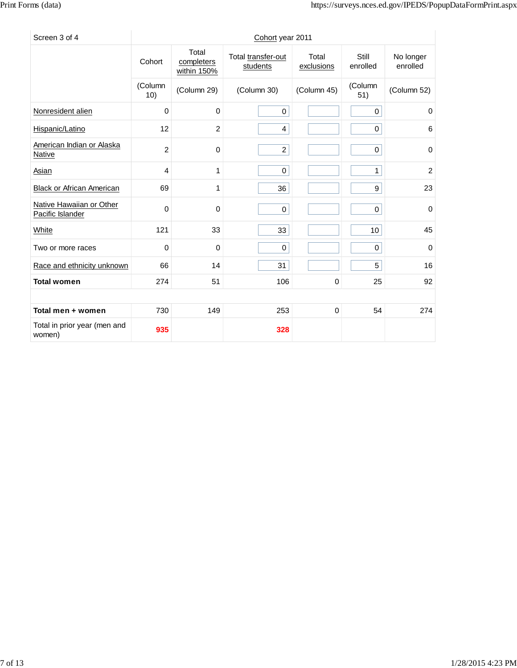| Screen 3 of 4                                |                |                                    | Cohort year 2011               |                     |                   |                       |
|----------------------------------------------|----------------|------------------------------------|--------------------------------|---------------------|-------------------|-----------------------|
|                                              | Cohort         | Total<br>completers<br>within 150% | Total transfer-out<br>students | Total<br>exclusions | Still<br>enrolled | No longer<br>enrolled |
|                                              | (Column<br>10) | (Column 29)                        | (Column 30)                    | (Column 45)         | (Column<br>51)    | (Column 52)           |
| Nonresident alien                            | $\mathbf 0$    | $\mathbf 0$                        | $\mathbf 0$                    |                     | $\mathbf 0$       | $\mathbf 0$           |
| Hispanic/Latino                              | 12             | 2                                  | 4                              |                     | $\pmb{0}$         | 6                     |
| American Indian or Alaska<br>Native          | $\overline{c}$ | 0                                  | $\overline{a}$                 |                     | $\pmb{0}$         | 0                     |
| Asian                                        | 4              | 1                                  | 0                              |                     | $\mathbf{1}$      | 2                     |
| <b>Black or African American</b>             | 69             | 1                                  | 36                             |                     | 9                 | 23                    |
| Native Hawaiian or Other<br>Pacific Islander | $\mathbf 0$    | $\mathbf 0$                        | 0                              |                     | 0                 | $\mathbf 0$           |
| White                                        | 121            | 33                                 | 33                             |                     | 10                | 45                    |
| Two or more races                            | 0              | $\mathbf 0$                        | $\mathbf 0$                    |                     | 0                 | 0                     |
| Race and ethnicity unknown                   | 66             | 14                                 | 31                             |                     | 5                 | 16                    |
| <b>Total women</b>                           | 274            | 51                                 | 106                            | 0                   | 25                | 92                    |
|                                              |                |                                    |                                |                     |                   |                       |
| Total men + women                            | 730            | 149                                | 253                            | $\mathbf 0$         | 54                | 274                   |
| Total in prior year (men and<br>women)       | 935            |                                    | 328                            |                     |                   |                       |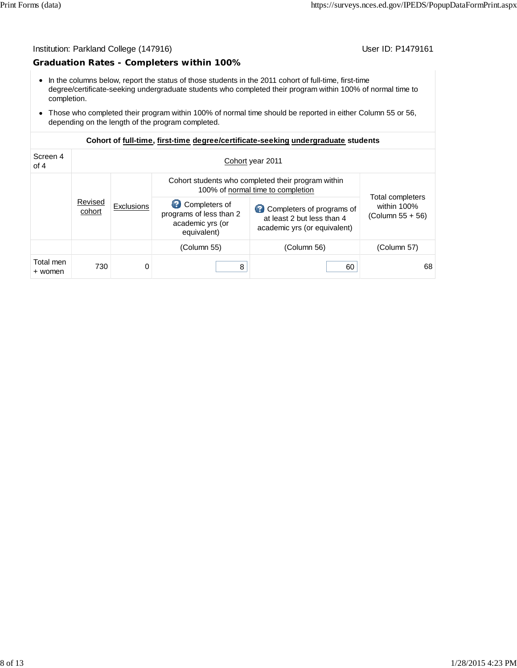#### **Graduation Rates - Completers within 100%**

- In the columns below, report the status of those students in the 2011 cohort of full-time, first-time degree/certificate-seeking undergraduate students who completed their program within 100% of normal time to completion.
- Those who completed their program within 100% of normal time should be reported in either Column 55 or 56, depending on the length of the program completed.

| Screen 4<br>of 4     | Cohort year 2011  |                   |                                                                                         |                                                                                         |                                                       |  |  |
|----------------------|-------------------|-------------------|-----------------------------------------------------------------------------------------|-----------------------------------------------------------------------------------------|-------------------------------------------------------|--|--|
|                      |                   |                   | Cohort students who completed their program within<br>100% of normal time to completion |                                                                                         |                                                       |  |  |
|                      | Revised<br>cohort | <b>Exclusions</b> | Completers of<br>programs of less than 2<br>academic yrs (or<br>equivalent)             | Completers of programs of<br>at least 2 but less than 4<br>academic yrs (or equivalent) | Total completers<br>within 100%<br>$(Column 55 + 56)$ |  |  |
|                      |                   |                   | (Column 55)                                                                             | (Column 56)                                                                             | (Column 57)                                           |  |  |
| Total men<br>+ women | 730               | 0                 | 8                                                                                       | 60                                                                                      | 68                                                    |  |  |

#### **Cohort of full-time, first-time degree/certificate-seeking undergraduate students**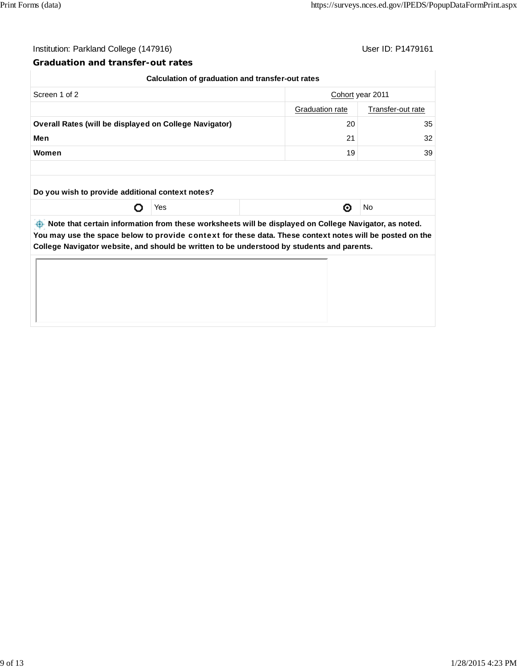#### **Graduation and transfer-out rates**

| Screen 1 of 2<br>Cohort year 2011                             |     |                        |                   |
|---------------------------------------------------------------|-----|------------------------|-------------------|
|                                                               |     | <b>Graduation rate</b> | Transfer-out rate |
| <b>Overall Rates (will be displayed on College Navigator)</b> |     | 20                     | 35                |
| Men<br>21                                                     |     |                        |                   |
| Women                                                         |     | 19                     | 39                |
| Do you wish to provide additional context notes?              |     |                        |                   |
|                                                               | Yes | ⊙                      | No                |
|                                                               |     |                        |                   |

**College Navigator website, and should be written to be understood by students and parents.**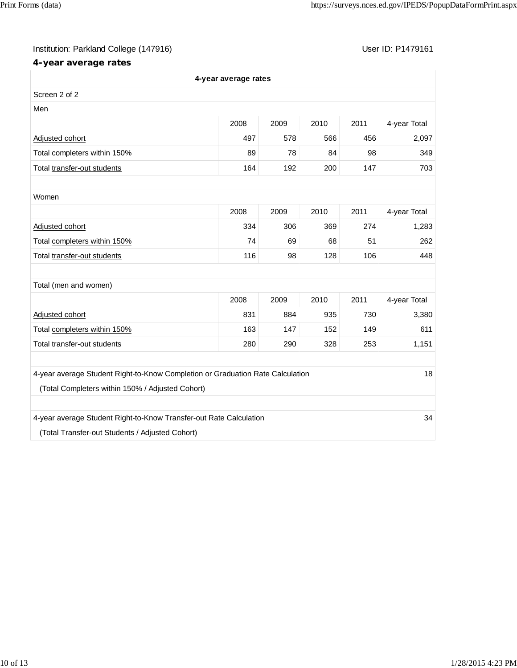## **4-year average rates**

|                                                                                | 4-year average rates |      |      |      |              |
|--------------------------------------------------------------------------------|----------------------|------|------|------|--------------|
| Screen 2 of 2                                                                  |                      |      |      |      |              |
| Men                                                                            |                      |      |      |      |              |
|                                                                                | 2008                 | 2009 | 2010 | 2011 | 4-year Total |
| Adjusted cohort                                                                | 497                  | 578  | 566  | 456  | 2,097        |
| Total completers within 150%                                                   | 89                   | 78   | 84   | 98   | 349          |
| Total transfer-out students                                                    | 164                  | 192  | 200  | 147  | 703          |
|                                                                                |                      |      |      |      |              |
| Women                                                                          |                      |      |      |      |              |
|                                                                                | 2008                 | 2009 | 2010 | 2011 | 4-year Total |
| Adjusted cohort                                                                | 334                  | 306  | 369  | 274  | 1,283        |
| Total completers within 150%                                                   | 74                   | 69   | 68   | 51   | 262          |
| Total transfer-out students                                                    | 116                  | 98   | 128  | 106  | 448          |
|                                                                                |                      |      |      |      |              |
| Total (men and women)                                                          |                      |      |      |      |              |
|                                                                                | 2008                 | 2009 | 2010 | 2011 | 4-year Total |
| Adjusted cohort                                                                | 831                  | 884  | 935  | 730  | 3,380        |
| Total completers within 150%                                                   | 163                  | 147  | 152  | 149  | 611          |
| Total transfer-out students                                                    | 280                  | 290  | 328  | 253  | 1,151        |
|                                                                                |                      |      |      |      |              |
| 4-year average Student Right-to-Know Completion or Graduation Rate Calculation |                      |      |      |      | 18           |
| (Total Completers within 150% / Adjusted Cohort)                               |                      |      |      |      |              |
|                                                                                |                      |      |      |      |              |
| 4-year average Student Right-to-Know Transfer-out Rate Calculation             |                      |      |      |      | 34           |
| (Total Transfer-out Students / Adjusted Cohort)                                |                      |      |      |      |              |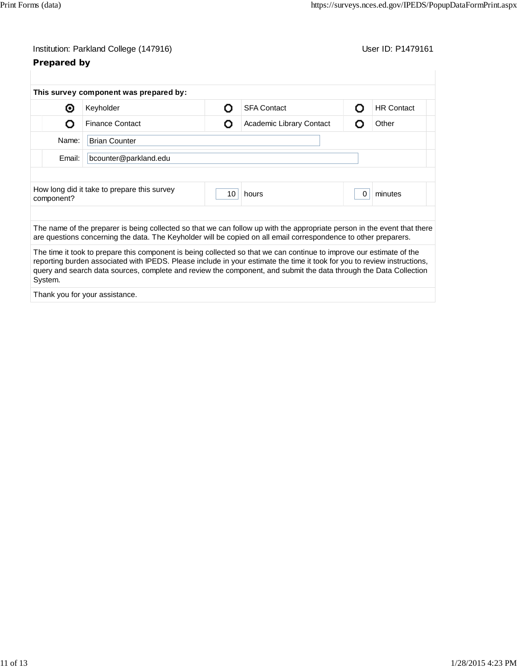## **Prepared by**

|            | This survey component was prepared by:                                                                                                                                                                                                                                                                                                                                |   |                          |   |                   |
|------------|-----------------------------------------------------------------------------------------------------------------------------------------------------------------------------------------------------------------------------------------------------------------------------------------------------------------------------------------------------------------------|---|--------------------------|---|-------------------|
| ⊙          | Keyholder                                                                                                                                                                                                                                                                                                                                                             | Ω | <b>SFA Contact</b>       | Ω | <b>HR Contact</b> |
| റ          | <b>Finance Contact</b>                                                                                                                                                                                                                                                                                                                                                | Ω | Academic Library Contact | O | Other             |
| Name:      | <b>Brian Counter</b>                                                                                                                                                                                                                                                                                                                                                  |   |                          |   |                   |
| Email:     | bcounter@parkland.edu                                                                                                                                                                                                                                                                                                                                                 |   |                          |   |                   |
| component? |                                                                                                                                                                                                                                                                                                                                                                       |   |                          |   |                   |
|            |                                                                                                                                                                                                                                                                                                                                                                       |   |                          |   |                   |
|            | The name of the preparer is being collected so that we can follow up with the appropriate person in the event that there<br>are questions concerning the data. The Keyholder will be copied on all email correspondence to other preparers.                                                                                                                           |   |                          |   |                   |
| System.    | The time it took to prepare this component is being collected so that we can continue to improve our estimate of the<br>reporting burden associated with IPEDS. Please include in your estimate the time it took for you to review instructions,<br>query and search data sources, complete and review the component, and submit the data through the Data Collection |   |                          |   |                   |
|            | Thank you for your assistance.                                                                                                                                                                                                                                                                                                                                        |   |                          |   |                   |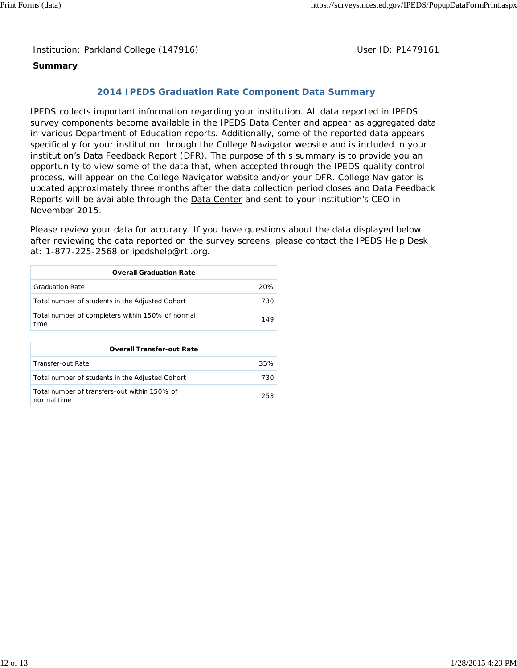### **Summary**

## **2014 IPEDS Graduation Rate Component Data Summary**

IPEDS collects important information regarding your institution. All data reported in IPEDS survey components become available in the IPEDS Data Center and appear as aggregated data in various Department of Education reports. Additionally, some of the reported data appears specifically for your institution through the College Navigator website and is included in your institution's Data Feedback Report (DFR). The purpose of this summary is to provide you an opportunity to view some of the data that, when accepted through the IPEDS quality control process, will appear on the College Navigator website and/or your DFR. College Navigator is updated approximately three months after the data collection period closes and Data Feedback Reports will be available through the **Data Center** and sent to your institution's CEO in November 2015.

Please review your data for accuracy. If you have questions about the data displayed below after reviewing the data reported on the survey screens, please contact the IPEDS Help Desk at: 1-877-225-2568 or ipedshelp@rti.org.

| <b>Overall Graduation Rate</b>                           |     |  |  |  |
|----------------------------------------------------------|-----|--|--|--|
| <b>Graduation Rate</b>                                   | 20% |  |  |  |
| Total number of students in the Adjusted Cohort          | 730 |  |  |  |
| Total number of completers within 150% of normal<br>time | 149 |  |  |  |

| <b>Overall Transfer-out Rate</b>                            |     |
|-------------------------------------------------------------|-----|
| Transfer-out Rate                                           | 35% |
| Total number of students in the Adjusted Cohort             | 730 |
| Total number of transfers-out within 150% of<br>normal time | 253 |